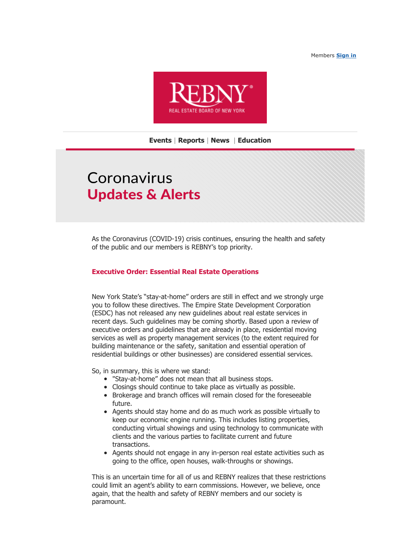Members **[Sign in](http://click.info.rebny.com/?qs=2ae57581cbec32d4e71c04eac5cd7a1cc229e7241b173f73327392c1f67429e0fb5fd72d78b1a91753a24a879dc95bfa63517484d34ca58ac7682129091d0bcc)**



## **[Events](http://click.info.rebny.com/?qs=2ae57581cbec32d4dad031f264411ee0dbdced17e4a62c611cbb9be5354b39e80564e7b94741389c40609cbc78124cff314668b8c97fc925a18410ebf1b04ac1)** | **[Reports](http://click.info.rebny.com/?qs=2ae57581cbec32d405cf8a7b0c09c641bba0c34f143a3511709e9063a48e786cd189adabc0d102b5ebd6ed6638144fdec977d9a41a2ec32c4b4dc40417b92e64)** | **[News](http://click.info.rebny.com/?qs=2ae57581cbec32d4c8285a6df3474aea0cd6c09e3011cf7404d94545f272a347eab0c48c7ee9fa81456bc341d6de009c2a5a95a76ea9a738bb165fb83cb3bbcd)** | **[Education](http://click.info.rebny.com/?qs=ce59fe5be5dbf405884e069051734cec86e92825f4042709178e1e38f9cea6d3de997e56a2719f3bd8225c4ec68455ea72dbb34bf7e316fc4d8bb26fddbcc8b5)**

# Coronavirus **Updates & Alerts**

As the Coronavirus (COVID-19) crisis continues, ensuring the health and safety of the public and our members is REBNY's top priority.

## **Executive Order: Essential Real Estate Operations**

New York State's "stay-at-home" orders are still in effect and we strongly urge you to follow these directives. The Empire State Development Corporation (ESDC) has not released any new guidelines about real estate services in recent days. Such guidelines may be coming shortly. Based upon a review of executive orders and guidelines that are already in place, residential moving services as well as property management services (to the extent required for building maintenance or the safety, sanitation and essential operation of residential buildings or other businesses) are considered essential services.

So, in summary, this is where we stand:

- "Stay-at-home" does not mean that all business stops.
- Closings should continue to take place as virtually as possible.
- Brokerage and branch offices will remain closed for the foreseeable future.
- Agents should stay home and do as much work as possible virtually to keep our economic engine running. This includes listing properties, conducting virtual showings and using technology to communicate with clients and the various parties to facilitate current and future transactions.
- Agents should not engage in any in-person real estate activities such as going to the office, open houses, walk-throughs or showings.

This is an uncertain time for all of us and REBNY realizes that these restrictions could limit an agent's ability to earn commissions. However, we believe, once again, that the health and safety of REBNY members and our society is paramount.